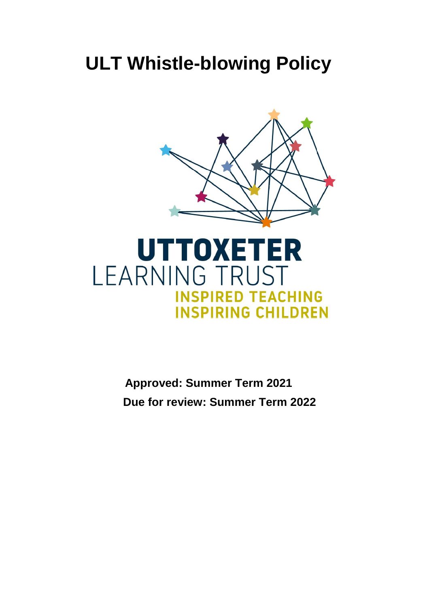# **ULT Whistle-blowing Policy**





**Approved: Summer Term 2021 Due for review: Summer Term 2022**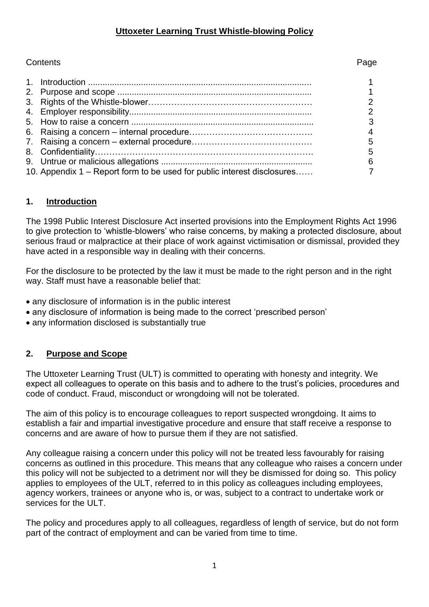## **Uttoxeter Learning Trust Whistle-blowing Policy**

## Contents Page

|                                                                         | 3 |
|-------------------------------------------------------------------------|---|
|                                                                         | 4 |
|                                                                         | 5 |
|                                                                         | 5 |
|                                                                         | 6 |
| 10. Appendix 1 – Report form to be used for public interest disclosures |   |
|                                                                         |   |

## **1. Introduction**

The 1998 Public Interest Disclosure Act inserted provisions into the Employment Rights Act 1996 to give protection to 'whistle-blowers' who raise concerns, by making a protected disclosure, about serious fraud or malpractice at their place of work against victimisation or dismissal, provided they have acted in a responsible way in dealing with their concerns.

For the disclosure to be protected by the law it must be made to the right person and in the right way. Staff must have a reasonable belief that:

- any disclosure of information is in the public interest
- any disclosure of information is being made to the correct 'prescribed person'
- any information disclosed is substantially true

## **2. Purpose and Scope**

The Uttoxeter Learning Trust (ULT) is committed to operating with honesty and integrity. We expect all colleagues to operate on this basis and to adhere to the trust's policies, procedures and code of conduct. Fraud, misconduct or wrongdoing will not be tolerated.

The aim of this policy is to encourage colleagues to report suspected wrongdoing. It aims to establish a fair and impartial investigative procedure and ensure that staff receive a response to concerns and are aware of how to pursue them if they are not satisfied.

Any colleague raising a concern under this policy will not be treated less favourably for raising concerns as outlined in this procedure. This means that any colleague who raises a concern under this policy will not be subjected to a detriment nor will they be dismissed for doing so. This policy applies to employees of the ULT, referred to in this policy as colleagues including employees, agency workers, trainees or anyone who is, or was, subject to a contract to undertake work or services for the ULT.

The policy and procedures apply to all colleagues, regardless of length of service, but do not form part of the contract of employment and can be varied from time to time.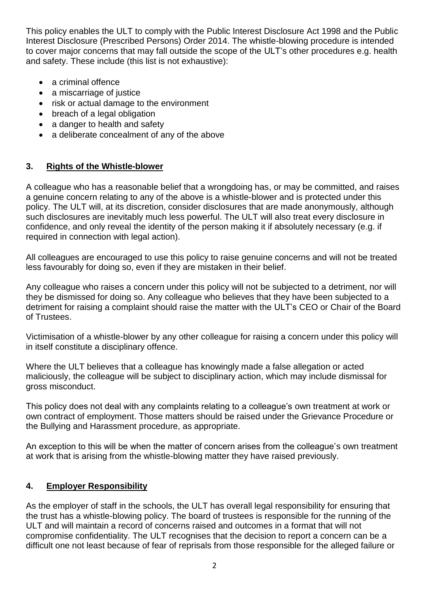This policy enables the ULT to comply with the Public Interest Disclosure Act 1998 and the Public Interest Disclosure (Prescribed Persons) Order 2014. The whistle-blowing procedure is intended to cover major concerns that may fall outside the scope of the ULT's other procedures e.g. health and safety. These include (this list is not exhaustive):

- a criminal offence
- a miscarriage of justice
- risk or actual damage to the environment
- breach of a legal obligation
- a danger to health and safety
- a deliberate concealment of any of the above

## **3. Rights of the Whistle-blower**

A colleague who has a reasonable belief that a wrongdoing has, or may be committed, and raises a genuine concern relating to any of the above is a whistle-blower and is protected under this policy. The ULT will, at its discretion, consider disclosures that are made anonymously, although such disclosures are inevitably much less powerful. The ULT will also treat every disclosure in confidence, and only reveal the identity of the person making it if absolutely necessary (e.g. if required in connection with legal action).

All colleagues are encouraged to use this policy to raise genuine concerns and will not be treated less favourably for doing so, even if they are mistaken in their belief.

Any colleague who raises a concern under this policy will not be subjected to a detriment, nor will they be dismissed for doing so. Any colleague who believes that they have been subjected to a detriment for raising a complaint should raise the matter with the ULT's CEO or Chair of the Board of Trustees.

Victimisation of a whistle-blower by any other colleague for raising a concern under this policy will in itself constitute a disciplinary offence.

Where the ULT believes that a colleague has knowingly made a false allegation or acted maliciously, the colleague will be subject to disciplinary action, which may include dismissal for gross misconduct.

This policy does not deal with any complaints relating to a colleague's own treatment at work or own contract of employment. Those matters should be raised under the Grievance Procedure or the Bullying and Harassment procedure, as appropriate.

An exception to this will be when the matter of concern arises from the colleague's own treatment at work that is arising from the whistle-blowing matter they have raised previously.

## **4. Employer Responsibility**

As the employer of staff in the schools, the ULT has overall legal responsibility for ensuring that the trust has a whistle-blowing policy. The board of trustees is responsible for the running of the ULT and will maintain a record of concerns raised and outcomes in a format that will not compromise confidentiality. The ULT recognises that the decision to report a concern can be a difficult one not least because of fear of reprisals from those responsible for the alleged failure or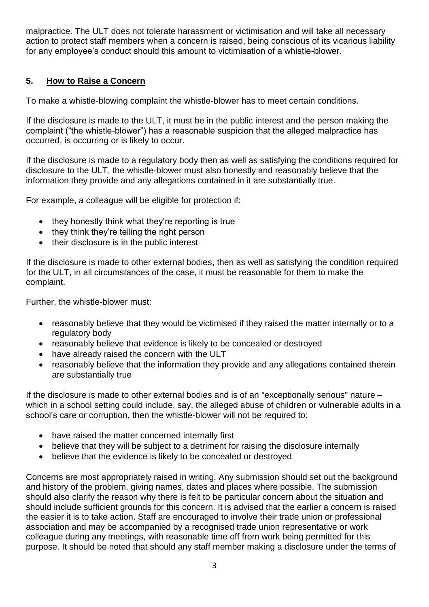malpractice. The ULT does not tolerate harassment or victimisation and will take all necessary action to protect staff members when a concern is raised, being conscious of its vicarious liability for any employee's conduct should this amount to victimisation of a whistle-blower.

## **5. How to Raise a Concern**

To make a whistle-blowing complaint the whistle-blower has to meet certain conditions.

If the disclosure is made to the ULT, it must be in the public interest and the person making the complaint ("the whistle-blower") has a reasonable suspicion that the alleged malpractice has occurred, is occurring or is likely to occur.

If the disclosure is made to a regulatory body then as well as satisfying the conditions required for disclosure to the ULT, the whistle-blower must also honestly and reasonably believe that the information they provide and any allegations contained in it are substantially true.

For example, a colleague will be eligible for protection if:

- they honestly think what they're reporting is true
- they think they're telling the right person
- their disclosure is in the public interest

If the disclosure is made to other external bodies, then as well as satisfying the condition required for the ULT, in all circumstances of the case, it must be reasonable for them to make the complaint.

Further, the whistle-blower must:

- reasonably believe that they would be victimised if they raised the matter internally or to a regulatory body
- reasonably believe that evidence is likely to be concealed or destroyed
- have already raised the concern with the ULT
- reasonably believe that the information they provide and any allegations contained therein are substantially true

If the disclosure is made to other external bodies and is of an "exceptionally serious" nature – which in a school setting could include, say, the alleged abuse of children or vulnerable adults in a school's care or corruption, then the whistle-blower will not be required to:

- have raised the matter concerned internally first
- believe that they will be subject to a detriment for raising the disclosure internally
- believe that the evidence is likely to be concealed or destroyed.

Concerns are most appropriately raised in writing. Any submission should set out the background and history of the problem, giving names, dates and places where possible. The submission should also clarify the reason why there is felt to be particular concern about the situation and should include sufficient grounds for this concern. It is advised that the earlier a concern is raised the easier it is to take action. Staff are encouraged to involve their trade union or professional association and may be accompanied by a recognised trade union representative or work colleague during any meetings, with reasonable time off from work being permitted for this purpose. It should be noted that should any staff member making a disclosure under the terms of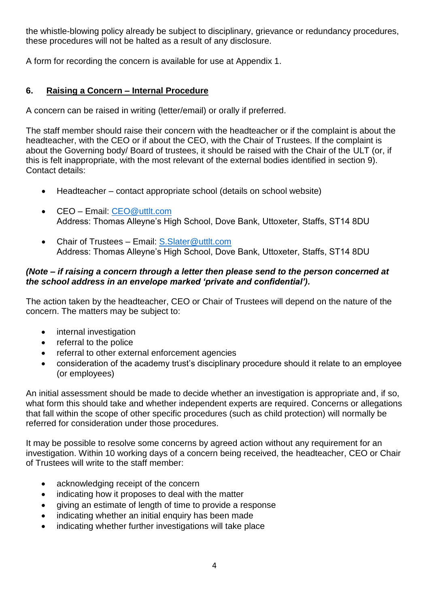the whistle-blowing policy already be subject to disciplinary, grievance or redundancy procedures, these procedures will not be halted as a result of any disclosure.

A form for recording the concern is available for use at Appendix 1.

## **6. Raising a Concern – Internal Procedure**

A concern can be raised in writing (letter/email) or orally if preferred.

The staff member should raise their concern with the headteacher or if the complaint is about the headteacher, with the CEO or if about the CEO, with the Chair of Trustees. If the complaint is about the Governing body/ Board of trustees, it should be raised with the Chair of the ULT (or, if this is felt inappropriate, with the most relevant of the external bodies identified in section 9). Contact details:

- Headteacher contact appropriate school (details on school website)
- CEO Email: [CEO@uttlt.com](mailto:CEO@uttlt.com) Address: Thomas Alleyne's High School, Dove Bank, Uttoxeter, Staffs, ST14 8DU
- Chair of Trustees Email: S. Slater@uttlt.com Address: Thomas Alleyne's High School, Dove Bank, Uttoxeter, Staffs, ST14 8DU

#### *(Note – if raising a concern through a letter then please send to the person concerned at the school address in an envelope marked 'private and confidential').*

The action taken by the headteacher, CEO or Chair of Trustees will depend on the nature of the concern. The matters may be subject to:

- internal investigation
- referral to the police
- referral to other external enforcement agencies
- consideration of the academy trust's disciplinary procedure should it relate to an employee (or employees)

An initial assessment should be made to decide whether an investigation is appropriate and, if so, what form this should take and whether independent experts are required. Concerns or allegations that fall within the scope of other specific procedures (such as child protection) will normally be referred for consideration under those procedures.

It may be possible to resolve some concerns by agreed action without any requirement for an investigation. Within 10 working days of a concern being received, the headteacher, CEO or Chair of Trustees will write to the staff member:

- acknowledging receipt of the concern
- indicating how it proposes to deal with the matter
- giving an estimate of length of time to provide a response
- indicating whether an initial enquiry has been made
- indicating whether further investigations will take place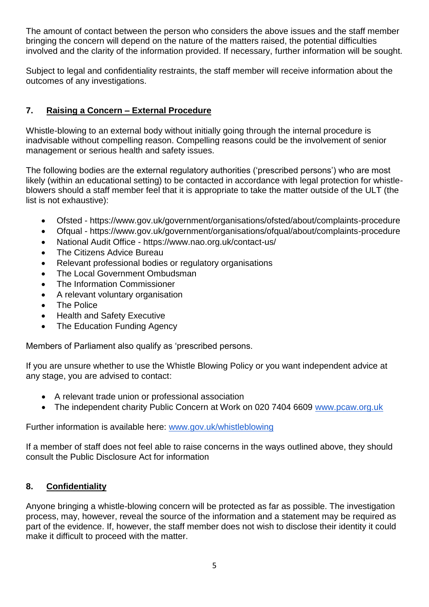The amount of contact between the person who considers the above issues and the staff member bringing the concern will depend on the nature of the matters raised, the potential difficulties involved and the clarity of the information provided. If necessary, further information will be sought.

Subject to legal and confidentiality restraints, the staff member will receive information about the outcomes of any investigations.

## **7. Raising a Concern – External Procedure**

Whistle-blowing to an external body without initially going through the internal procedure is inadvisable without compelling reason. Compelling reasons could be the involvement of senior management or serious health and safety issues.

The following bodies are the external regulatory authorities ('prescribed persons') who are most likely (within an educational setting) to be contacted in accordance with legal protection for whistleblowers should a staff member feel that it is appropriate to take the matter outside of the ULT (the list is not exhaustive):

- Ofsted https://www.gov.uk/government/organisations/ofsted/about/complaints-procedure
- Ofqual https://www.gov.uk/government/organisations/ofqual/about/complaints-procedure
- National Audit Office https://www.nao.org.uk/contact-us/
- The Citizens Advice Bureau
- Relevant professional bodies or regulatory organisations
- The Local Government Ombudsman
- The Information Commissioner
- A relevant voluntary organisation
- The Police
- Health and Safety Executive
- The Education Funding Agency

Members of Parliament also qualify as 'prescribed persons.

If you are unsure whether to use the Whistle Blowing Policy or you want independent advice at any stage, you are advised to contact:

- A relevant trade union or professional association
- The independent charity Public Concern at Work on 020 7404 6609 [www.pcaw.org.uk](http://www.pcaw.org.uk/)

Further information is available here: [www.gov.uk/whistleblowing](http://www.gov.uk/whistleblowing)

If a member of staff does not feel able to raise concerns in the ways outlined above, they should consult the Public Disclosure Act for information

## **8. Confidentiality**

Anyone bringing a whistle-blowing concern will be protected as far as possible. The investigation process, may, however, reveal the source of the information and a statement may be required as part of the evidence. If, however, the staff member does not wish to disclose their identity it could make it difficult to proceed with the matter.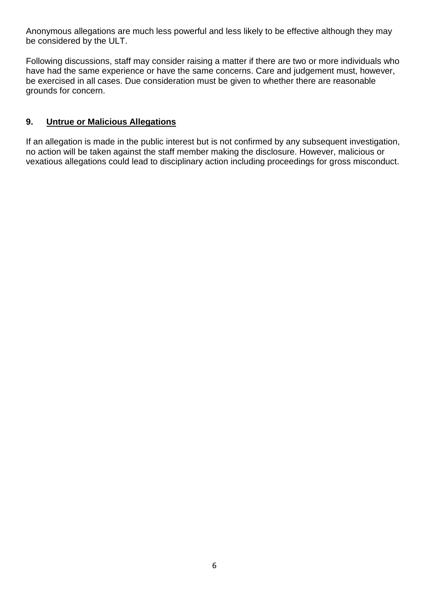Anonymous allegations are much less powerful and less likely to be effective although they may be considered by the ULT.

Following discussions, staff may consider raising a matter if there are two or more individuals who have had the same experience or have the same concerns. Care and judgement must, however, be exercised in all cases. Due consideration must be given to whether there are reasonable grounds for concern.

## **9. Untrue or Malicious Allegations**

If an allegation is made in the public interest but is not confirmed by any subsequent investigation, no action will be taken against the staff member making the disclosure. However, malicious or vexatious allegations could lead to disciplinary action including proceedings for gross misconduct.